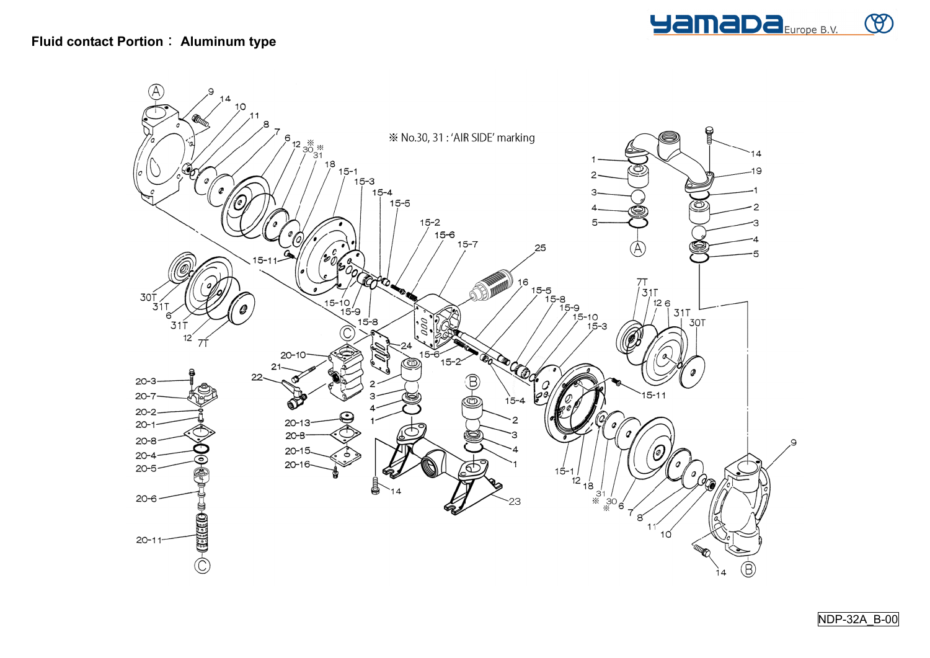

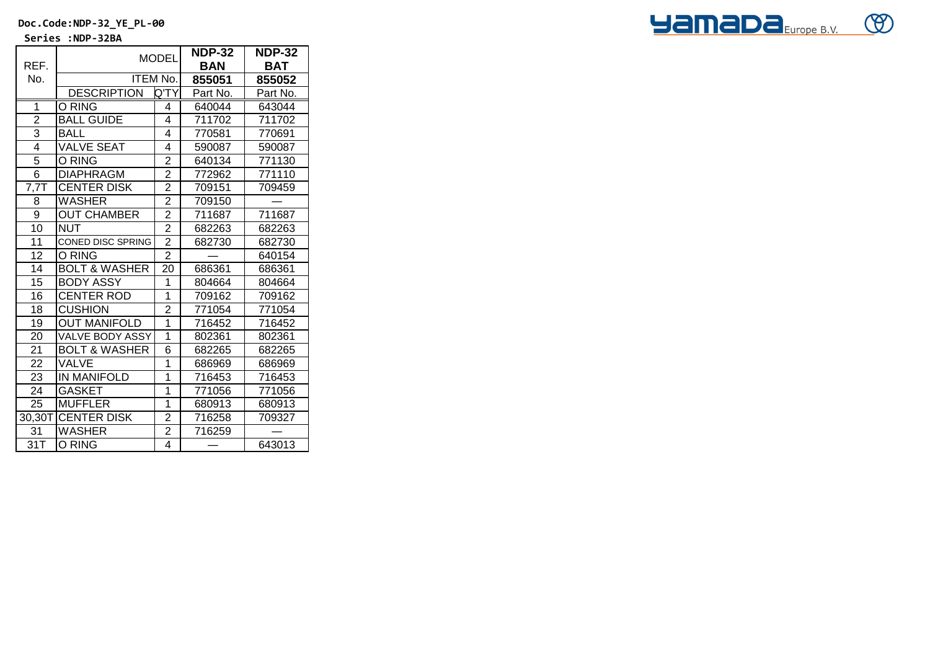**Doc.Code:NDP-32\_YE\_PL-00**

 **Series :NDP-32BA**

|                | <b>MODEL</b>             |                | <b>NDP-32</b> | <b>NDP-32</b> |
|----------------|--------------------------|----------------|---------------|---------------|
| REF.           |                          |                | BAN           | BAT           |
| No.            | <b>ITEM No.</b>          |                | 855051        | 855052        |
|                | <b>DESCRIPTION</b>       | Q'TY           | Part No.      | Part No.      |
| $\mathbf{1}$   | O RING                   | 4              | 640044        | 643044        |
| $\overline{2}$ | <b>BALL GUIDE</b>        | 4              | 711702        | 711702        |
| 3              | <b>BALL</b>              | 4              | 770581        | 770691        |
| $\overline{4}$ | <b>VALVE SEAT</b>        | 4              | 590087        | 590087        |
| 5              | O RING                   | $\overline{2}$ | 640134        | 771130        |
| 6              | <b>DIAPHRAGM</b>         | $\overline{2}$ | 772962        | 771110        |
| 7,7            | <b>CENTER DISK</b>       | 2              | 709151        | 709459        |
| 8              | <b>WASHER</b>            | $\overline{2}$ | 709150        |               |
| 9              | <b>OUT CHAMBER</b>       | $\overline{2}$ | 711687        | 711687        |
| 10             | <b>NUT</b>               | $\overline{2}$ | 682263        | 682263        |
| 11             | <b>CONED DISC SPRING</b> | $\overline{c}$ | 682730        | 682730        |
| 12             | O RING                   | $\overline{2}$ |               | 640154        |
| 14             | <b>BOLT &amp; WASHER</b> | 20             | 686361        | 686361        |
| 15             | <b>BODY ASSY</b>         | 1              | 804664        | 804664        |
| 16             | <b>CENTER ROD</b>        | 1              | 709162        | 709162        |
| 18             | <b>CUSHION</b>           | $\overline{2}$ | 771054        | 771054        |
| 19             | <b>OUT MANIFOLD</b>      | $\overline{1}$ | 716452        | 716452        |
| 20             | VALVE BODY ASSY          | 1              | 802361        | 802361        |
| 21             | <b>BOLT &amp; WASHER</b> | 6              | 682265        | 682265        |
| 22             | VALVE                    | 1              | 686969        | 686969        |
| 23             | <b>IN MANIFOLD</b>       | 1              | 716453        | 716453        |
| 24             | <b>GASKET</b>            | $\overline{1}$ | 771056        | 771056        |
| 25             | <b>MUFFLER</b>           | 1              | 680913        | 680913        |
| $30,30$ T      | <b>CENTER DISK</b>       | $\overline{2}$ | 716258        | 709327        |
| 31             | <b>WASHER</b>            | $\overline{c}$ | 716259        |               |
| 31T            | O RING                   | 4              |               | 643013        |